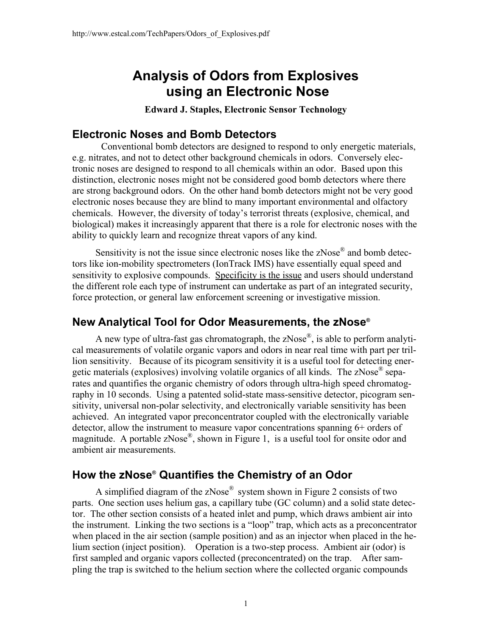# **Analysis of Odors from Explosives using an Electronic Nose**

**Edward J. Staples, Electronic Sensor Technology**

#### **Electronic Noses and Bomb Detectors**

 Conventional bomb detectors are designed to respond to only energetic materials, e.g. nitrates, and not to detect other background chemicals in odors. Conversely electronic noses are designed to respond to all chemicals within an odor. Based upon this distinction, electronic noses might not be considered good bomb detectors where there are strong background odors. On the other hand bomb detectors might not be very good electronic noses because they are blind to many important environmental and olfactory chemicals. However, the diversity of today's terrorist threats (explosive, chemical, and biological) makes it increasingly apparent that there is a role for electronic noses with the ability to quickly learn and recognize threat vapors of any kind.

Sensitivity is not the issue since electronic noses like the zNose® and bomb detectors like ion-mobility spectrometers (IonTrack IMS) have essentially equal speed and sensitivity to explosive compounds. Specificity is the issue and users should understand the different role each type of instrument can undertake as part of an integrated security, force protection, or general law enforcement screening or investigative mission.

# **New Analytical Tool for Odor Measurements, the zNose®**

A new type of ultra-fast gas chromatograph, the zNose<sup>®</sup>, is able to perform analytical measurements of volatile organic vapors and odors in near real time with part per trillion sensitivity. Because of its picogram sensitivity it is a useful tool for detecting energetic materials (explosives) involving volatile organics of all kinds. The zNose® separates and quantifies the organic chemistry of odors through ultra-high speed chromatography in 10 seconds. Using a patented solid-state mass-sensitive detector, picogram sensitivity, universal non-polar selectivity, and electronically variable sensitivity has been achieved. An integrated vapor preconcentrator coupled with the electronically variable detector, allow the instrument to measure vapor concentrations spanning 6+ orders of magnitude. A portable zNose<sup>®</sup>, shown in Figure 1, is a useful tool for onsite odor and ambient air measurements.

# **How the zNose® Quantifies the Chemistry of an Odor**

A simplified diagram of the  $zNose^{\circledR}$  system shown in Figure 2 consists of two parts. One section uses helium gas, a capillary tube (GC column) and a solid state detector. The other section consists of a heated inlet and pump, which draws ambient air into the instrument. Linking the two sections is a "loop" trap, which acts as a preconcentrator when placed in the air section (sample position) and as an injector when placed in the helium section (inject position). Operation is a two-step process. Ambient air (odor) is first sampled and organic vapors collected (preconcentrated) on the trap. After sampling the trap is switched to the helium section where the collected organic compounds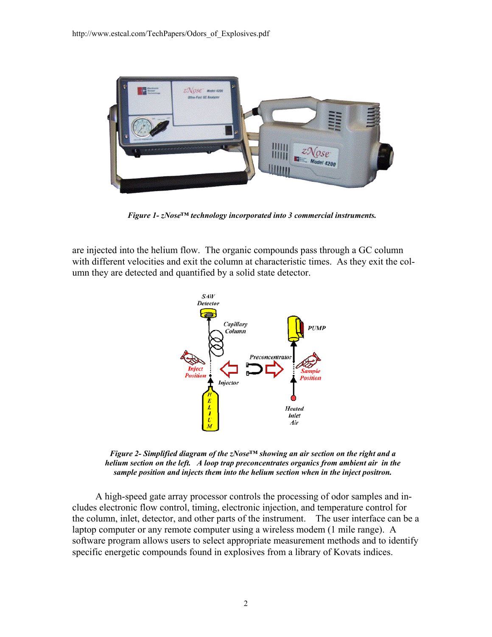

*Figure 1- zNose™ technology incorporated into 3 commercial instruments.* 

are injected into the helium flow. The organic compounds pass through a GC column with different velocities and exit the column at characteristic times. As they exit the column they are detected and quantified by a solid state detector.



*Figure 2- Simplified diagram of the zNose™ showing an air section on the right and a helium section on the left. A loop trap preconcentrates organics from ambient air in the sample position and injects them into the helium section when in the inject positron.* 

A high-speed gate array processor controls the processing of odor samples and includes electronic flow control, timing, electronic injection, and temperature control for the column, inlet, detector, and other parts of the instrument. The user interface can be a laptop computer or any remote computer using a wireless modem (1 mile range). A software program allows users to select appropriate measurement methods and to identify specific energetic compounds found in explosives from a library of Kovats indices.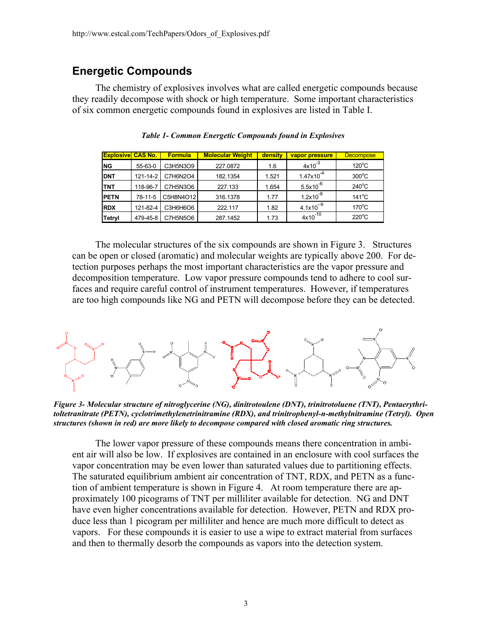### **Energetic Compounds**

The chemistry of explosives involves what are called energetic compounds because they readily decompose with shock or high temperature. Some important characteristics of six common energetic compounds found in explosives are listed in Table I.

| <b>Explosive CAS No.</b> |          | <b>Formula</b> | <b>Molecular Weight</b> | density | vapor pressure        | <b>Decompose</b> |
|--------------------------|----------|----------------|-------------------------|---------|-----------------------|------------------|
| <b>NG</b>                | 55-63-0  | C3H5N3O9       | 227.0872                | 1.6     | $4x10^{-3}$           | $120^{\circ}$ C  |
| <b>DNT</b>               | 121-14-2 | C7H6N2O4       | 182.1354                | 1.521   | $1.47 \times 10^{-4}$ | $300^{\circ}$ C  |
| <b>TNT</b>               | 118-96-7 | C7H5N3O6       | 227.133                 | 1.654   | $5.5x10^{-6}$         | $240^{\circ}$ C  |
| <b>PETN</b>              | 78-11-5  | C5H8N4O12      | 316.1378                | 1.77    | $1.2x10^{-8}$         | $141^{\circ}$ C  |
| <b>RDX</b>               | 121-82-4 | C3H6H6O6       | 222.117                 | 1.82    | $4.1x10^{-9}$         | $170^{\circ}$ C  |
| Tetryl                   | 479-45-8 | C7H5N5O6       | 287.1452                | 1.73    | $4x10^{-10}$          | $220^{\circ}$ C  |

*Table 1- Common Energetic Compounds found in Explosives* 

The molecular structures of the six compounds are shown in Figure 3. Structures can be open or closed (aromatic) and molecular weights are typically above 200. For detection purposes perhaps the most important characteristics are the vapor pressure and decomposition temperature. Low vapor pressure compounds tend to adhere to cool surfaces and require careful control of instrument temperatures. However, if temperatures are too high compounds like NG and PETN will decompose before they can be detected.



*Figure 3- Molecular structure of nitroglycerine (NG), dinitrotoulene (DNT), trinitrotoluene (TNT), Pentaerythritoltetranitrate (PETN), cyclotrimethylenetrinitramine (RDX), and trinitrophenyl-n-methylnitramine (Tetryl). Open structures (shown in red) are more likely to decompose compared with closed aromatic ring structures.* 

The lower vapor pressure of these compounds means there concentration in ambient air will also be low. If explosives are contained in an enclosure with cool surfaces the vapor concentration may be even lower than saturated values due to partitioning effects. The saturated equilibrium ambient air concentration of TNT, RDX, and PETN as a function of ambient temperature is shown in Figure 4. At room temperature there are approximately 100 picograms of TNT per milliliter available for detection. NG and DNT have even higher concentrations available for detection. However, PETN and RDX produce less than 1 picogram per milliliter and hence are much more difficult to detect as vapors. For these compounds it is easier to use a wipe to extract material from surfaces and then to thermally desorb the compounds as vapors into the detection system.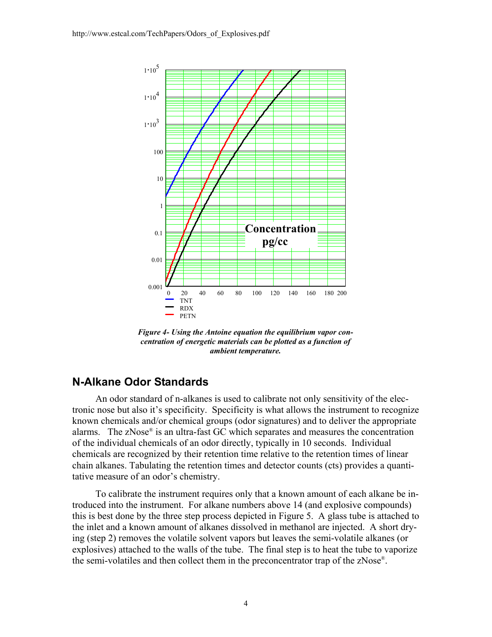

*Figure 4- Using the Antoine equation the equilibrium vapor concentration of energetic materials can be plotted as a function of ambient temperature.* 

#### **N-Alkane Odor Standards**

An odor standard of n-alkanes is used to calibrate not only sensitivity of the electronic nose but also it's specificity. Specificity is what allows the instrument to recognize known chemicals and/or chemical groups (odor signatures) and to deliver the appropriate alarms. The zNose® is an ultra-fast GC which separates and measures the concentration of the individual chemicals of an odor directly, typically in 10 seconds. Individual chemicals are recognized by their retention time relative to the retention times of linear chain alkanes. Tabulating the retention times and detector counts (cts) provides a quantitative measure of an odor's chemistry.

To calibrate the instrument requires only that a known amount of each alkane be introduced into the instrument. For alkane numbers above 14 (and explosive compounds) this is best done by the three step process depicted in Figure 5. A glass tube is attached to the inlet and a known amount of alkanes dissolved in methanol are injected. A short drying (step 2) removes the volatile solvent vapors but leaves the semi-volatile alkanes (or explosives) attached to the walls of the tube. The final step is to heat the tube to vaporize the semi-volatiles and then collect them in the preconcentrator trap of the zNose®.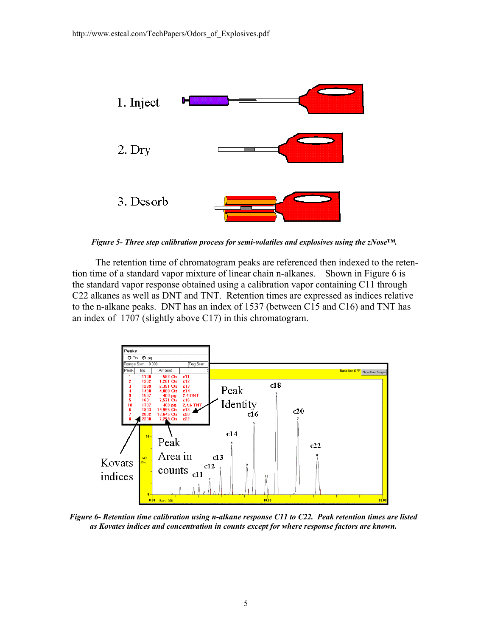

*Figure 5- Three step calibration process for semi-volatiles and explosives using the zNose™.* 

The retention time of chromatogram peaks are referenced then indexed to the retention time of a standard vapor mixture of linear chain n-alkanes. Shown in Figure 6 is the standard vapor response obtained using a calibration vapor containing C11 through C22 alkanes as well as DNT and TNT. Retention times are expressed as indices relative to the n-alkane peaks. DNT has an index of 1537 (between C15 and C16) and TNT has an index of 1707 (slightly above C17) in this chromatogram.



*Figure 6- Retention time calibration using n-alkane response C11 to C22. Peak retention times are listed as Kovates indices and concentration in counts except for where response factors are known.*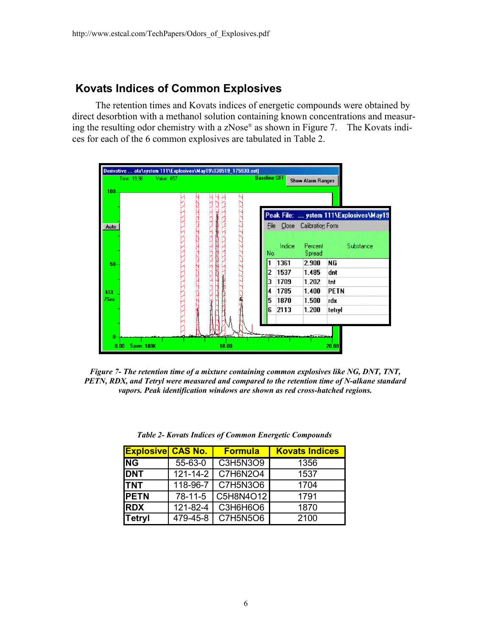### **Kovats Indices of Common Explosives**

The retention times and Kovats indices of energetic compounds were obtained by direct desorbtion with a methanol solution containing known concentrations and measuring the resulting odor chemistry with a zNose® as shown in Figure 7. The Kovats indices for each of the 6 common explosives are tabulated in Table 2.



*Figure 7- The retention time of a mixture containing common explosives like NG, DNT, TNT, PETN, RDX, and Tetryl were measured and compared to the retention time of N-alkane standard vapors. Peak identification windows are shown as red cross-hatched regions.* 

| <b>Explosive CAS No.</b> |                | <b>Formula</b>         | <b>Kovats Indices</b> |
|--------------------------|----------------|------------------------|-----------------------|
| $N$ G                    | 55-63-0        | C3H5N3O9               | 1356                  |
| <b>DNT</b>               | $121 - 14 - 2$ | $\overline{C7}$ H6N2O4 | 1537                  |
| <b>ITNT</b>              | 118-96-7       | C7H5N3O6               | 1704                  |
| <b>IPETN</b>             | 78-11-5        | C5H8N4O12              | 1791                  |
| <b>IRDX</b>              | 121-82-4       | C3H6H6O6               | 1870                  |
| <b>Tetryl</b>            | 479-45-8       | C7H5N5O6               | 2100                  |

*Table 2- Kovats Indices of Common Energetic Compounds*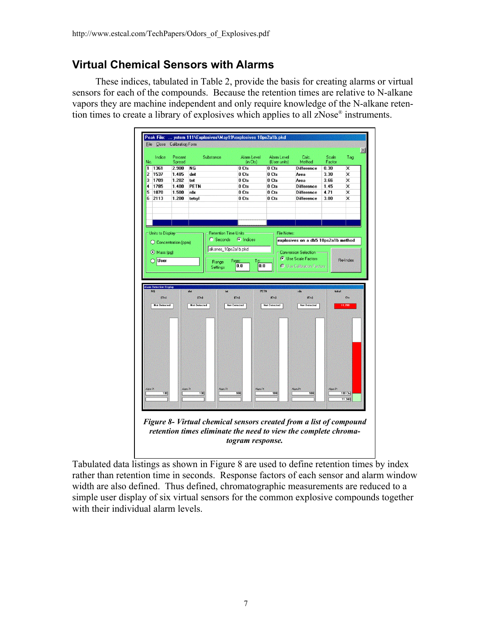### **Virtual Chemical Sensors with Alarms**

These indices, tabulated in Table 2, provide the basis for creating alarms or virtual sensors for each of the compounds. Because the retention times are relative to N-alkane vapors they are machine independent and only require knowledge of the N-alkane retention times to create a library of explosives which applies to all zNose® instruments.



Tabulated data listings as shown in Figure 8 are used to define retention times by index rather than retention time in seconds. Response factors of each sensor and alarm window width are also defined. Thus defined, chromatographic measurements are reduced to a simple user display of six virtual sensors for the common explosive compounds together

with their individual alarm levels.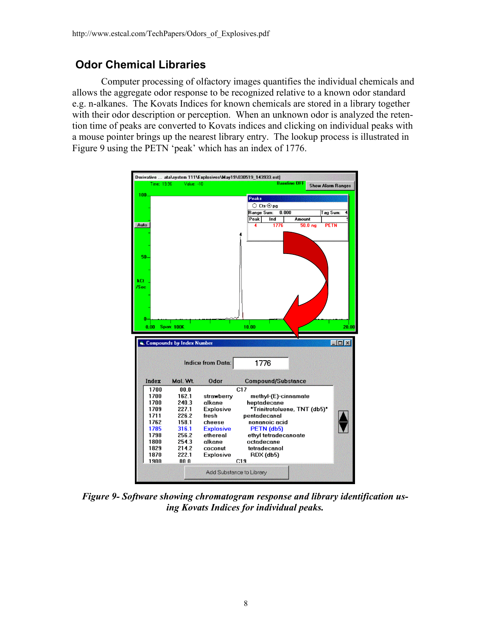### **Odor Chemical Libraries**

Computer processing of olfactory images quantifies the individual chemicals and allows the aggregate odor response to be recognized relative to a known odor standard e.g. n-alkanes. The Kovats Indices for known chemicals are stored in a library together with their odor description or perception. When an unknown odor is analyzed the retention time of peaks are converted to Kovats indices and clicking on individual peaks with a mouse pointer brings up the nearest library entry. The lookup process is illustrated in Figure 9 using the PETN 'peak' which has an index of 1776.



*Figure 9- Software showing chromatogram response and library identification using Kovats Indices for individual peaks.*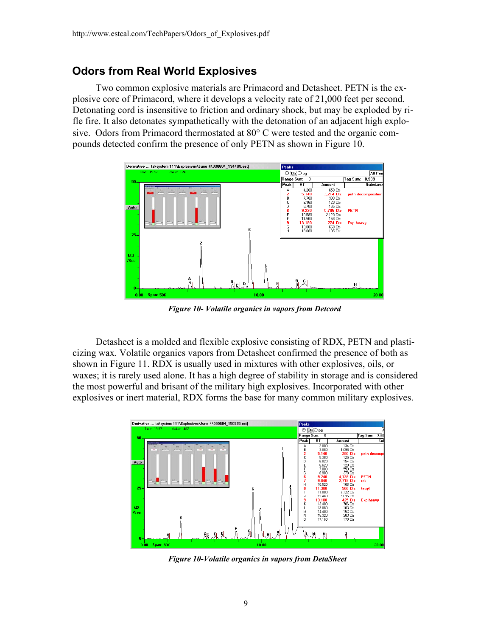### **Odors from Real World Explosives**

Two common explosive materials are Primacord and Detasheet. PETN is the explosive core of Primacord, where it develops a velocity rate of 21,000 feet per second. Detonating cord is insensitive to friction and ordinary shock, but may be exploded by rifle fire. It also detonates sympathetically with the detonation of an adjacent high explosive. Odors from Primacord thermostated at 80° C were tested and the organic compounds detected confirm the presence of only PETN as shown in Figure 10.



*Figure 10- Volatile organics in vapors from Detcord* 

Detasheet is a molded and flexible explosive consisting of RDX, PETN and plasticizing wax. Volatile organics vapors from Detasheet confirmed the presence of both as shown in Figure 11. RDX is usually used in mixtures with other explosives, oils, or waxes; it is rarely used alone. It has a high degree of stability in storage and is considered the most powerful and brisant of the military high explosives. Incorporated with other explosives or inert material, RDX forms the base for many common military explosives.



*Figure 10-Volatile organics in vapors from DetaSheet*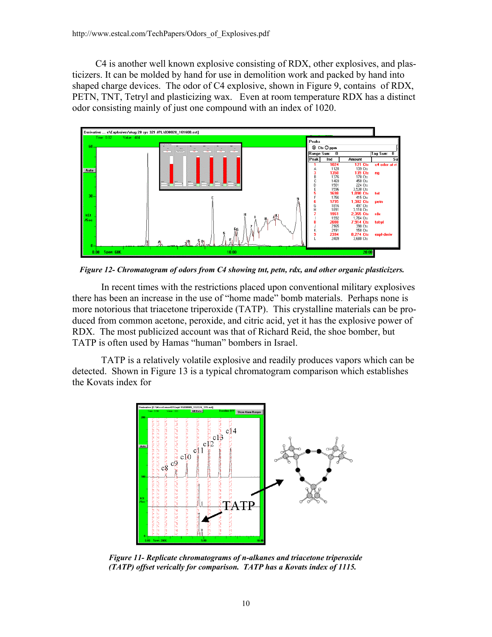C4 is another well known explosive consisting of RDX, other explosives, and plasticizers. It can be molded by hand for use in demolition work and packed by hand into shaped charge devices. The odor of C4 explosive, shown in Figure 9, contains of RDX, PETN, TNT, Tetryl and plasticizing wax. Even at room temperature RDX has a distinct odor consisting mainly of just one compound with an index of 1020.



*Figure 12- Chromatogram of odors from C4 showing tnt, petn, rdx, and other organic plasticizers.* 

In recent times with the restrictions placed upon conventional military explosives there has been an increase in the use of "home made" bomb materials. Perhaps none is more notorious that triacetone triperoxide (TATP). This crystalline materials can be produced from common acetone, peroxide, and citric acid, yet it has the explosive power of RDX. The most publicized account was that of Richard Reid, the shoe bomber, but TATP is often used by Hamas "human" bombers in Israel.

TATP is a relatively volatile explosive and readily produces vapors which can be detected. Shown in Figure 13 is a typical chromatogram comparison which establishes the Kovats index for



*Figure 11- Replicate chromatograms of n-alkanes and triacetone triperoxide (TATP) offset verically for comparison. TATP has a Kovats index of 1115.*